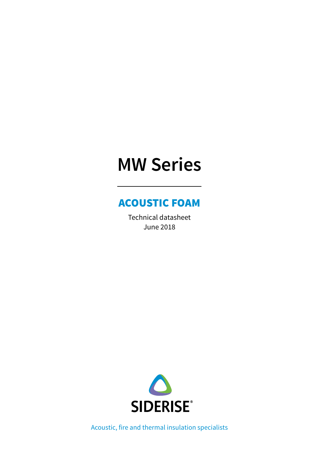# **MW Series**

# ACOUSTIC FOAM

Technical datasheet June 2018



Acoustic, fire and thermal insulation specialists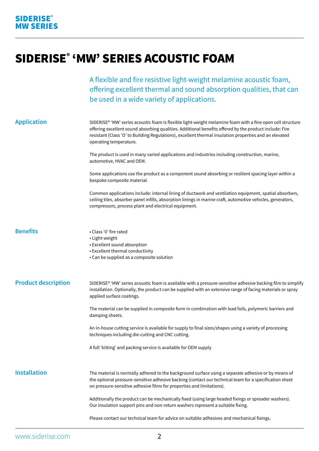# SIDERISE® 'MW' SERIES ACOUSTIC FOAM

A flexible and fire resistive light-weight melamine acoustic foam, offering excellent thermal and sound absorption qualities, that can be used in a wide variety of applications.

| <b>Application</b>         | SIDERISE® 'MW' series acoustic foam is flexible light-weight melamine foam with a fine open cell structure<br>offering excellent sound absorbing qualities. Additional benefits offered by the product include: Fire<br>resistant (Class 'O' to Building Regulations), excellent thermal insulation properties and an elevated<br>operating temperature. |
|----------------------------|----------------------------------------------------------------------------------------------------------------------------------------------------------------------------------------------------------------------------------------------------------------------------------------------------------------------------------------------------------|
|                            | The product is used in many varied applications and industries including construction, marine,<br>automotive, HVAC and OEM.                                                                                                                                                                                                                              |
|                            | Some applications use the product as a component sound absorbing or resilient spacing layer within a<br>bespoke composite material.                                                                                                                                                                                                                      |
|                            | Common applications include: internal lining of ductwork and ventilation equipment, spatial absorbers,<br>ceiling tiles, absorber panel infills, absorption linings in marine craft, automotive vehicles, generators,<br>compressors, process plant and electrical equipment.                                                                            |
| <b>Benefits</b>            | • Class '0' fire rated<br>• Light-weight<br>• Excellent sound absorption<br>• Excellent thermal conductivity<br>• Can be supplied as a composite solution                                                                                                                                                                                                |
| <b>Product description</b> | SIDERISE® 'MW' series acoustic foam is available with a pressure-sensitive adhesive backing film to simplify<br>installation. Optionally, the product can be supplied with an extensive range of facing materials or spray<br>applied surface coatings.                                                                                                  |
|                            | The material can be supplied in composite form in combination with lead foils, polymeric barriers and<br>damping sheets.                                                                                                                                                                                                                                 |
|                            | An in-house cutting service is available for supply to final sizes/shapes using a variety of processing<br>techniques including die-cutting and CNC cutting.                                                                                                                                                                                             |
|                            | A full 'kitting' and packing service is available for OEM supply                                                                                                                                                                                                                                                                                         |
| <b>Installation</b>        | The material is normally adhered to the background surface using a separate adhesive or by means of<br>the optional pressure-sensitive adhesive backing (contact our technical team for a specification sheet<br>on pressure-sensitive adhesive films for properties and limitations).                                                                   |
|                            | Additionally the product can be mechanically fixed (using large headed fixings or spreader washers).<br>Our insulation support pins and non-return washers represent a suitable fixing.                                                                                                                                                                  |
|                            | Please contact our technical team for advice on suitable adhesives and mechanical fixings.                                                                                                                                                                                                                                                               |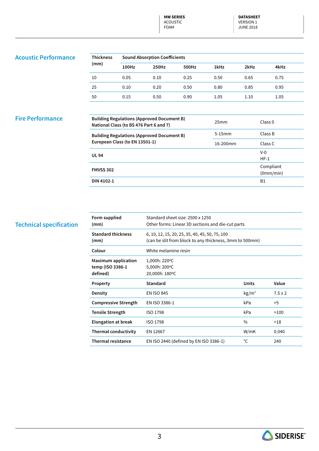**MW SERIES** ACOUSTIC FOAM

**DATASHEET**  VERSION 1 JUNE 2018

### **Acoustic Performance**

| <b>Thickness</b><br>(mm) | <b>Sound Absorption Coefficients</b> |       |       |      |      |      |  |
|--------------------------|--------------------------------------|-------|-------|------|------|------|--|
|                          | 100Hz                                | 250Hz | 500Hz | 1kHz | 2kHz | 4kHz |  |
| 10                       | 0.05                                 | 0.10  | 0.25  | 0.50 | 0.65 | 0.75 |  |
| 25                       | 0.10                                 | 0.20  | 0.50  | 0.80 | 0.85 | 0.95 |  |
| 50                       | 0.15                                 | 0.50  | 0.90  | 1.05 | 1.10 | 1.05 |  |

#### **Fire Performance**

| <b>Building Regulations (Approved Document B)</b><br>National Class (to BS 476 Part 6 and 7) | 25 <sub>mm</sub> | Class <sub>0</sub>     |
|----------------------------------------------------------------------------------------------|------------------|------------------------|
| <b>Building Regulations (Approved Document B)</b>                                            | $5-15$ mm        | Class B                |
| European Class (to EN 13501-1)                                                               | $16-200$ mm      | Class C                |
| <b>UL 94</b>                                                                                 |                  | $V-0$<br>$HF-1$        |
| <b>FMVSS 302</b>                                                                             |                  | Compliant<br>(0mm/min) |
| DIN 4102-1                                                                                   |                  | <b>B1</b>              |

#### **Technical specification**

| Form supplied<br>(mm)                                      | Standard sheet size: 2500 x 1250<br>Other forms: Linear 3D sections and die-cut parts                     |                 |             |  |
|------------------------------------------------------------|-----------------------------------------------------------------------------------------------------------|-----------------|-------------|--|
| <b>Standard thickness</b><br>(mm)                          | 6, 10, 12, 15, 20, 25, 35, 40, 45, 50, 75, 100<br>(can be slit from block to any thickness, 3mm to 500mm) |                 |             |  |
| Colour                                                     | White melamine resin                                                                                      |                 |             |  |
| <b>Maximum application</b><br>temp (ISO 3386-1<br>defined) | 1,000h: 220°C<br>5,000h: 200°C<br>20,000h: 180°C                                                          |                 |             |  |
| Property                                                   | <b>Standard</b>                                                                                           | <b>Units</b>    | Value       |  |
| Density                                                    | <b>EN ISO 845</b>                                                                                         | $\text{kg/m}^3$ | $7.5 \pm 2$ |  |
| <b>Compressive Strength</b>                                | EN ISO 3386-1                                                                                             | kPa             | >5          |  |
| <b>Tensile Strength</b>                                    | <b>ISO 1798</b>                                                                                           | kPa             | >100        |  |
| <b>Elongation at break</b>                                 | ISO 1798                                                                                                  | $\frac{0}{0}$   | >18         |  |
| <b>Thermal conductivity</b>                                | EN 12667                                                                                                  | W/mK            | 0.040       |  |
| <b>Thermal resistance</b>                                  | EN ISO 2440 (defined by EN ISO 3386-1)                                                                    | °C              | 240         |  |